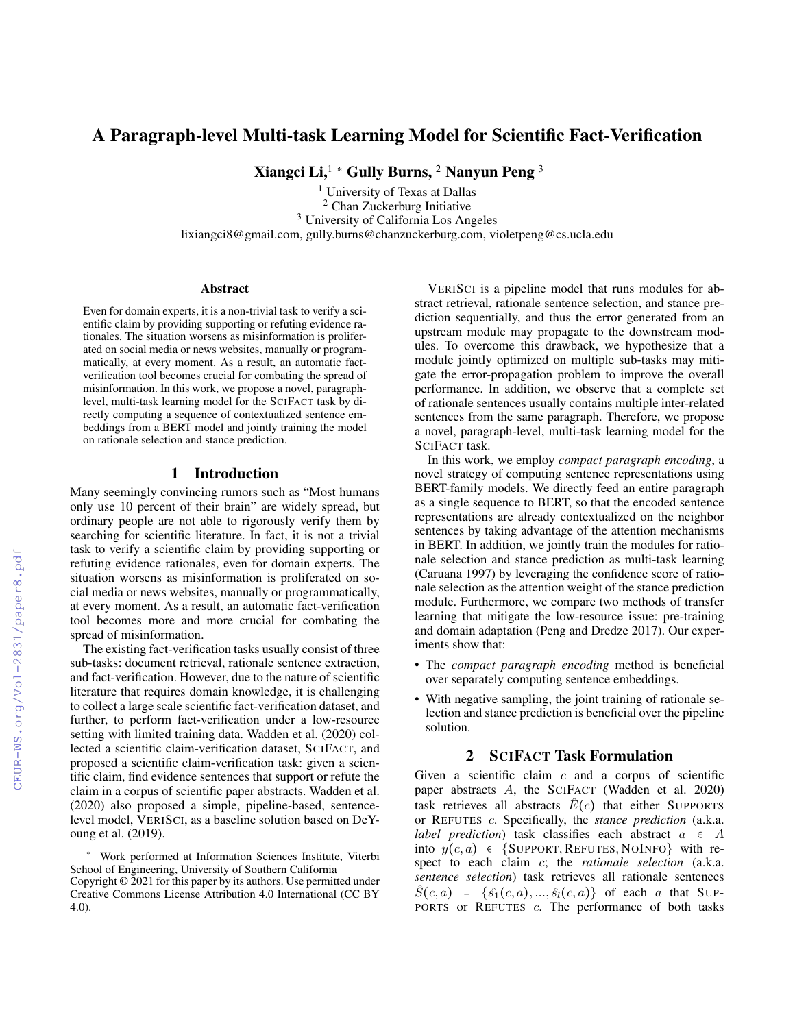# A Paragraph-level Multi-task Learning Model for Scientific Fact-Verification

Xiangci Li,<sup>1</sup> \* Gully Burns,  $2$  Nanyun Peng  $3$ 

<sup>1</sup> University of Texas at Dallas <sup>2</sup> Chan Zuckerburg Initiative <sup>3</sup> University of California Los Angeles lixiangci8@gmail.com, gully.burns@chanzuckerburg.com, violetpeng@cs.ucla.edu

#### Abstract

Even for domain experts, it is a non-trivial task to verify a scientific claim by providing supporting or refuting evidence rationales. The situation worsens as misinformation is proliferated on social media or news websites, manually or programmatically, at every moment. As a result, an automatic factverification tool becomes crucial for combating the spread of misinformation. In this work, we propose a novel, paragraphlevel, multi-task learning model for the SCIFACT task by directly computing a sequence of contextualized sentence embeddings from a BERT model and jointly training the model on rationale selection and stance prediction.

#### 1 Introduction

Many seemingly convincing rumors such as "Most humans only use 10 percent of their brain" are widely spread, but ordinary people are not able to rigorously verify them by searching for scientific literature. In fact, it is not a trivial task to verify a scientific claim by providing supporting or refuting evidence rationales, even for domain experts. The situation worsens as misinformation is proliferated on social media or news websites, manually or programmatically, at every moment. As a result, an automatic fact-verification tool becomes more and more crucial for combating the spread of misinformation.

The existing fact-verification tasks usually consist of three sub-tasks: document retrieval, rationale sentence extraction, and fact-verification. However, due to the nature of scientific literature that requires domain knowledge, it is challenging to collect a large scale scientific fact-verification dataset, and further, to perform fact-verification under a low-resource setting with limited training data. Wadden et al. (2020) collected a scientific claim-verification dataset, SCIFACT, and proposed a scientific claim-verification task: given a scientific claim, find evidence sentences that support or refute the claim in a corpus of scientific paper abstracts. Wadden et al. (2020) also proposed a simple, pipeline-based, sentencelevel model, VERISCI, as a baseline solution based on DeYoung et al. (2019).

VERISCI is a pipeline model that runs modules for abstract retrieval, rationale sentence selection, and stance prediction sequentially, and thus the error generated from an upstream module may propagate to the downstream modules. To overcome this drawback, we hypothesize that a module jointly optimized on multiple sub-tasks may mitigate the error-propagation problem to improve the overall performance. In addition, we observe that a complete set of rationale sentences usually contains multiple inter-related sentences from the same paragraph. Therefore, we propose a novel, paragraph-level, multi-task learning model for the SCIFACT task.

In this work, we employ *compact paragraph encoding*, a novel strategy of computing sentence representations using BERT-family models. We directly feed an entire paragraph as a single sequence to BERT, so that the encoded sentence representations are already contextualized on the neighbor sentences by taking advantage of the attention mechanisms in BERT. In addition, we jointly train the modules for rationale selection and stance prediction as multi-task learning (Caruana 1997) by leveraging the confidence score of rationale selection as the attention weight of the stance prediction module. Furthermore, we compare two methods of transfer learning that mitigate the low-resource issue: pre-training and domain adaptation (Peng and Dredze 2017). Our experiments show that:

- The *compact paragraph encoding* method is beneficial over separately computing sentence embeddings.
- With negative sampling, the joint training of rationale selection and stance prediction is beneficial over the pipeline solution.

## 2 SCIFACT Task Formulation

Given a scientific claim  $c$  and a corpus of scientific paper abstracts A, the SCIFACT (Wadden et al. 2020) task retrieves all abstracts  $\hat{E}(c)$  that either SUPPORTS or REFUTES c. Specifically, the *stance prediction* (a.k.a. *label prediction*) task classifies each abstract  $a \in A$ into  $y(c, a) \in \{SUPPORT, REFUTES, NOINFO\}$  with respect to each claim c; the *rationale selection* (a.k.a. *sentence selection*) task retrieves all rationale sentences  $\hat{S}(c, a) = \{\hat{s_1}(c, a), ..., \hat{s_l}(c, a)\}\$  of each a that SUP-PORTS or REFUTES c. The performance of both tasks

Work performed at Information Sciences Institute, Viterbi School of Engineering, University of Southern California

Copyright © 2021 for this paper by its authors. Use permitted under Creative Commons License Attribution 4.0 International (CC BY 4.0).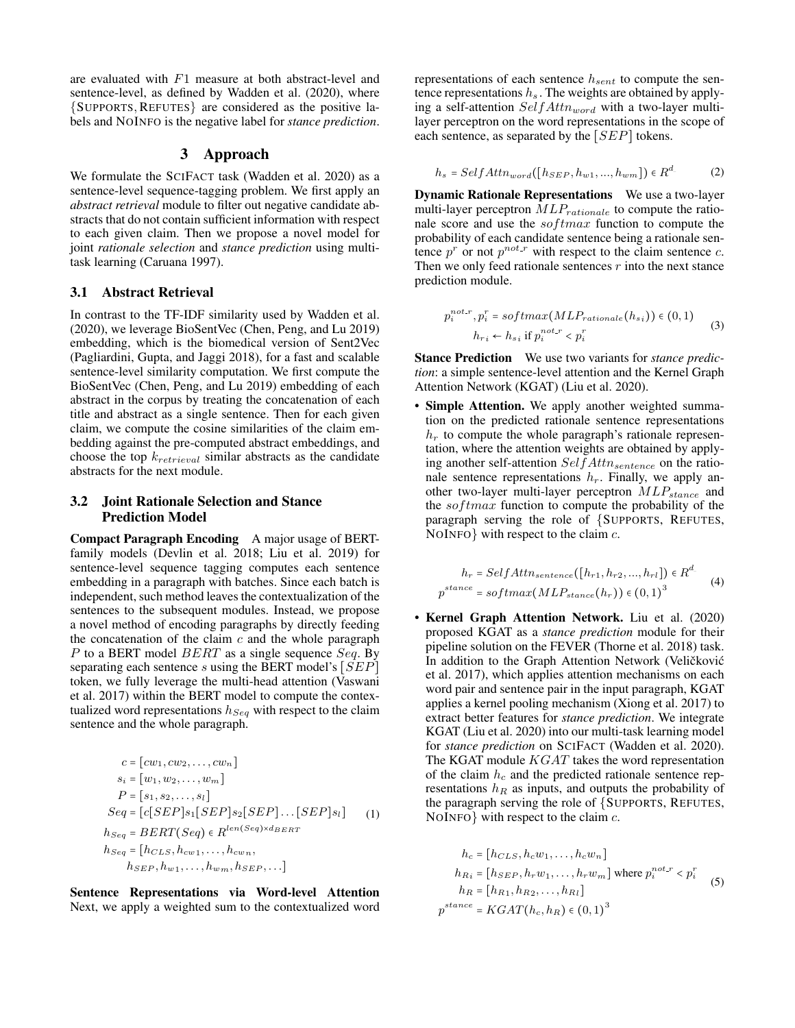are evaluated with F1 measure at both abstract-level and sentence-level, as defined by Wadden et al. (2020), where {SUPPORTS, REFUTES} are considered as the positive labels and NOINFO is the negative label for *stance prediction*.

#### 3 Approach

We formulate the SCIFACT task (Wadden et al. 2020) as a sentence-level sequence-tagging problem. We first apply an *abstract retrieval* module to filter out negative candidate abstracts that do not contain sufficient information with respect to each given claim. Then we propose a novel model for joint *rationale selection* and *stance prediction* using multitask learning (Caruana 1997).

#### 3.1 Abstract Retrieval

In contrast to the TF-IDF similarity used by Wadden et al. (2020), we leverage BioSentVec (Chen, Peng, and Lu 2019) embedding, which is the biomedical version of Sent2Vec (Pagliardini, Gupta, and Jaggi 2018), for a fast and scalable sentence-level similarity computation. We first compute the BioSentVec (Chen, Peng, and Lu 2019) embedding of each abstract in the corpus by treating the concatenation of each title and abstract as a single sentence. Then for each given claim, we compute the cosine similarities of the claim embedding against the pre-computed abstract embeddings, and choose the top  $k_{retrieval}$  similar abstracts as the candidate abstracts for the next module.

### 3.2 Joint Rationale Selection and Stance Prediction Model

Compact Paragraph Encoding A major usage of BERTfamily models (Devlin et al. 2018; Liu et al. 2019) for sentence-level sequence tagging computes each sentence embedding in a paragraph with batches. Since each batch is independent, such method leaves the contextualization of the sentences to the subsequent modules. Instead, we propose a novel method of encoding paragraphs by directly feeding the concatenation of the claim  $c$  and the whole paragraph P to a BERT model  $BERT$  as a single sequence  $Seq$ . By separating each sentence s using the BERT model's  $[SEP]$ token, we fully leverage the multi-head attention (Vaswani et al. 2017) within the BERT model to compute the contextualized word representations  $h_{Seq}$  with respect to the claim sentence and the whole paragraph.

$$
c = [cw_1, cw_2, \dots, cw_n]
$$
  
\n
$$
s_i = [w_1, w_2, \dots, w_m]
$$
  
\n
$$
P = [s_1, s_2, \dots, s_l]
$$
  
\n
$$
Seq = [c[SEP]s_1[SEP]s_2[SEP] \dots [SEP]s_l]
$$
  
\n
$$
h_{Seq} = BERT(Seq) \in R^{len(Seq) \times d_{BERT}}
$$
  
\n
$$
h_{Seq} = [h_{CLS}, h_{cw1}, \dots, h_{cwn}, h_{SEP}, \dots]
$$

Sentence Representations via Word-level Attention Next, we apply a weighted sum to the contextualized word representations of each sentence  $h_{sent}$  to compute the sentence representations  $h_s$ . The weights are obtained by applying a self-attention  $SelfAttn_{word}$  with a two-layer multilayer perceptron on the word representations in the scope of each sentence, as separated by the  $[SEP]$  tokens.

$$
h_s = SelfAttn_{word}([h_{SEP}, h_{w1}, ..., h_{wm}]) \in R^d
$$
 (2)

**Dynamic Rationale Representations** We use a two-layer multi-layer perceptron  $MLP_{rationale}$  to compute the rationale score and use the  $softmax$  function to compute the probability of each candidate sentence being a rationale sentence  $p^r$  or not  $p^{not-r}$  with respect to the claim sentence c. Then we only feed rationale sentences  $r$  into the next stance prediction module.

$$
p_i^{not.r}, p_i^r = softmax(MLP_{rationale}(h_{si})) \in (0, 1)
$$
  
\n
$$
h_{ri} \leftarrow h_{si} \text{ if } p_i^{not.r} < p_i^r \tag{3}
$$

Stance Prediction We use two variants for *stance prediction*: a simple sentence-level attention and the Kernel Graph Attention Network (KGAT) (Liu et al. 2020).

• Simple Attention. We apply another weighted summation on the predicted rationale sentence representations  $h_r$  to compute the whole paragraph's rationale representation, where the attention weights are obtained by applying another self-attention  $SelfAttn_{sentence}$  on the rationale sentence representations  $h_r$ . Finally, we apply another two-layer multi-layer perceptron  $MLP_{stance}$  and the  $softmax$  function to compute the probability of the paragraph serving the role of {SUPPORTS, REFUTES, NOINFO} with respect to the claim  $c$ .

$$
h_r = SelfAttn_{sentence}([h_{r1}, h_{r2}, ..., h_{rl}]) \in R^d
$$
  

$$
p^{stance} = softmax(MLP_{stance}(h_r)) \in (0, 1)^3
$$
 (4)

• Kernel Graph Attention Network. Liu et al. (2020) proposed KGAT as a *stance prediction* module for their pipeline solution on the FEVER (Thorne et al. 2018) task. In addition to the Graph Attention Network (Veličković et al. 2017), which applies attention mechanisms on each word pair and sentence pair in the input paragraph, KGAT applies a kernel pooling mechanism (Xiong et al. 2017) to extract better features for *stance prediction*. We integrate KGAT (Liu et al. 2020) into our multi-task learning model for *stance prediction* on SCIFACT (Wadden et al. 2020). The KGAT module  $KGAT$  takes the word representation of the claim  $h_c$  and the predicted rationale sentence representations  $h_R$  as inputs, and outputs the probability of the paragraph serving the role of {SUPPORTS, REFUTES, NOINFO with respect to the claim  $c$ .

$$
h_c = [h_{CLS}, h_c w_1, \dots, h_c w_n]
$$
  
\n
$$
h_{R_i} = [h_{SEP}, h_r w_1, \dots, h_r w_m]
$$
 where  $p_i^{not.r} < p_i^r$   
\n
$$
h_R = [h_{R_1}, h_{R_2}, \dots, h_{R_l}]
$$
  
\n
$$
p^{stance} = KGAT(h_c, h_R) \in (0, 1)^3
$$
 (5)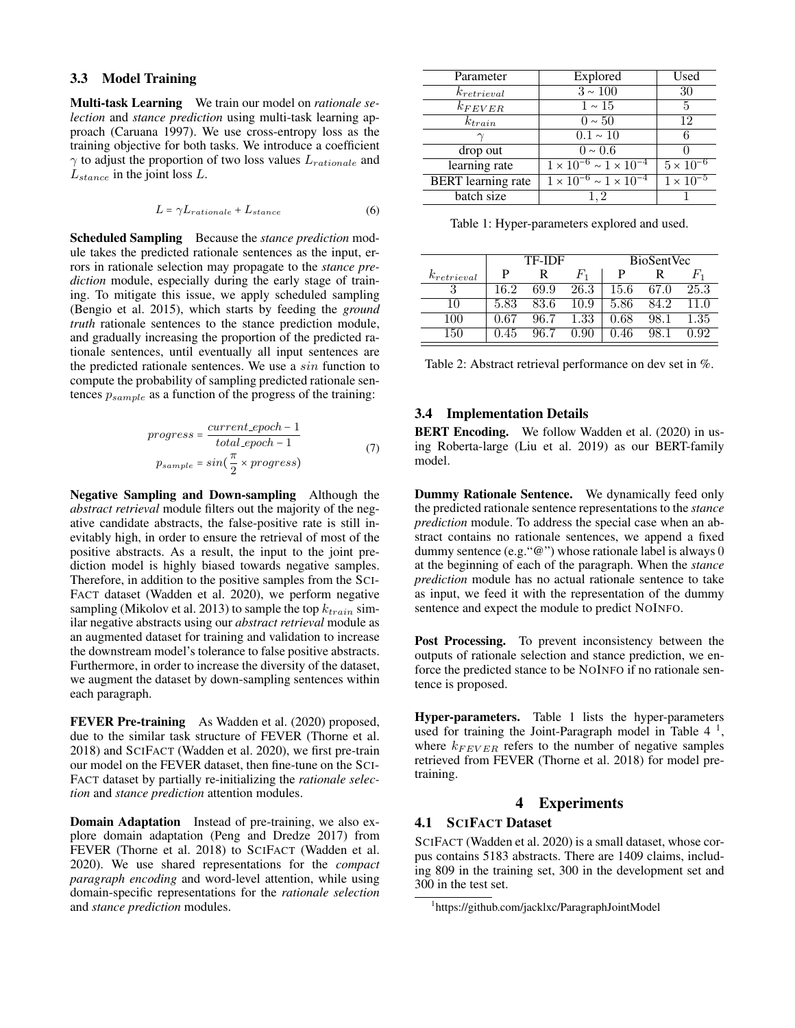### 3.3 Model Training

Multi-task Learning We train our model on *rationale selection* and *stance prediction* using multi-task learning approach (Caruana 1997). We use cross-entropy loss as the training objective for both tasks. We introduce a coefficient  $\gamma$  to adjust the proportion of two loss values  $L_{rationale}$  and  $L_{stance}$  in the joint loss  $L$ .

$$
L = \gamma L_{rationale} + L_{stance}
$$
 (6)

Scheduled Sampling Because the *stance prediction* module takes the predicted rationale sentences as the input, errors in rationale selection may propagate to the *stance prediction* module, especially during the early stage of training. To mitigate this issue, we apply scheduled sampling (Bengio et al. 2015), which starts by feeding the *ground truth* rationale sentences to the stance prediction module, and gradually increasing the proportion of the predicted rationale sentences, until eventually all input sentences are the predicted rationale sentences. We use a sin function to compute the probability of sampling predicted rationale sentences  $p_{sample}$  as a function of the progress of the training:

$$
progress = \frac{current\_epoch - 1}{total\_epoch - 1}
$$
  
\n
$$
p_{sample} = sin(\frac{\pi}{2} \times progress)
$$
 (7)

Negative Sampling and Down-sampling Although the *abstract retrieval* module filters out the majority of the negative candidate abstracts, the false-positive rate is still inevitably high, in order to ensure the retrieval of most of the positive abstracts. As a result, the input to the joint prediction model is highly biased towards negative samples. Therefore, in addition to the positive samples from the SCI-FACT dataset (Wadden et al. 2020), we perform negative sampling (Mikolov et al. 2013) to sample the top  $k_{train}$  similar negative abstracts using our *abstract retrieval* module as an augmented dataset for training and validation to increase the downstream model's tolerance to false positive abstracts. Furthermore, in order to increase the diversity of the dataset, we augment the dataset by down-sampling sentences within each paragraph.

FEVER Pre-training As Wadden et al. (2020) proposed, due to the similar task structure of FEVER (Thorne et al. 2018) and SCIFACT (Wadden et al. 2020), we first pre-train our model on the FEVER dataset, then fine-tune on the SCI-FACT dataset by partially re-initializing the *rationale selection* and *stance prediction* attention modules.

Domain Adaptation Instead of pre-training, we also explore domain adaptation (Peng and Dredze 2017) from FEVER (Thorne et al. 2018) to SCIFACT (Wadden et al. 2020). We use shared representations for the *compact paragraph encoding* and word-level attention, while using domain-specific representations for the *rationale selection* and *stance prediction* modules.

| Parameter                 | Explored                                 | Used                                        |
|---------------------------|------------------------------------------|---------------------------------------------|
| $k_{retrieval}$           | $3 \sim 100$                             | 30                                          |
| $k_{FEVER}$               | $1 \sim 15$                              | 5                                           |
| $k_{train}$               | $0\sim\overline{50}$                     | 12                                          |
|                           | $0.1 \sim 10$                            |                                             |
| drop out                  | $0 \sim 0.6$                             |                                             |
| learning rate             | $1 \times 10^{-6} \sim 1 \times 10^{-4}$ | $5 \times 10^{-6}$                          |
| <b>BERT</b> learning rate | $1 \times 10^{-6} \sim 1 \times 10^{-4}$ | $\frac{1 \times 10^{-5}}{1 \times 10^{-5}}$ |
| batch size                | 1.2                                      |                                             |

Table 1: Hyper-parameters explored and used.

|                 |      | TF-IDF |         | <b>BioSentVec</b> |      |         |  |  |  |
|-----------------|------|--------|---------|-------------------|------|---------|--|--|--|
| $k_{retrieval}$ | P    | R      | $F_{1}$ | P                 |      | $F_{1}$ |  |  |  |
|                 | 16.2 | 69.9   | 26.3    | 15.6              | 67.0 | 25.3    |  |  |  |
| 10              | 5.83 | 83.6   | 10.9    | 5.86              | 84.2 |         |  |  |  |
| 100             | በ 67 | 96.7   | 1.33    | 0.68              | 98.1 | 1.35    |  |  |  |
| 150             | 45   | O6 7   |         | 46                |      |         |  |  |  |

| Table 2: Abstract retrieval performance on dev set in %. |  |  |  |  |
|----------------------------------------------------------|--|--|--|--|
|----------------------------------------------------------|--|--|--|--|

#### 3.4 Implementation Details

BERT Encoding. We follow Wadden et al. (2020) in using Roberta-large (Liu et al. 2019) as our BERT-family model.

Dummy Rationale Sentence. We dynamically feed only the predicted rationale sentence representations to the *stance prediction* module. To address the special case when an abstract contains no rationale sentences, we append a fixed dummy sentence (e.g."@") whose rationale label is always 0 at the beginning of each of the paragraph. When the *stance prediction* module has no actual rationale sentence to take as input, we feed it with the representation of the dummy sentence and expect the module to predict NOINFO.

Post Processing. To prevent inconsistency between the outputs of rationale selection and stance prediction, we enforce the predicted stance to be NOINFO if no rationale sentence is proposed.

Hyper-parameters. Table 1 lists the hyper-parameters used for training the Joint-Paragraph model in Table  $4<sup>1</sup>$ , where  $k_{FEVER}$  refers to the number of negative samples retrieved from FEVER (Thorne et al. 2018) for model pretraining.

#### 4 Experiments

### 4.1 SCIFACT Dataset

SCIFACT (Wadden et al. 2020) is a small dataset, whose corpus contains 5183 abstracts. There are 1409 claims, including 809 in the training set, 300 in the development set and 300 in the test set.

<sup>1</sup> https://github.com/jacklxc/ParagraphJointModel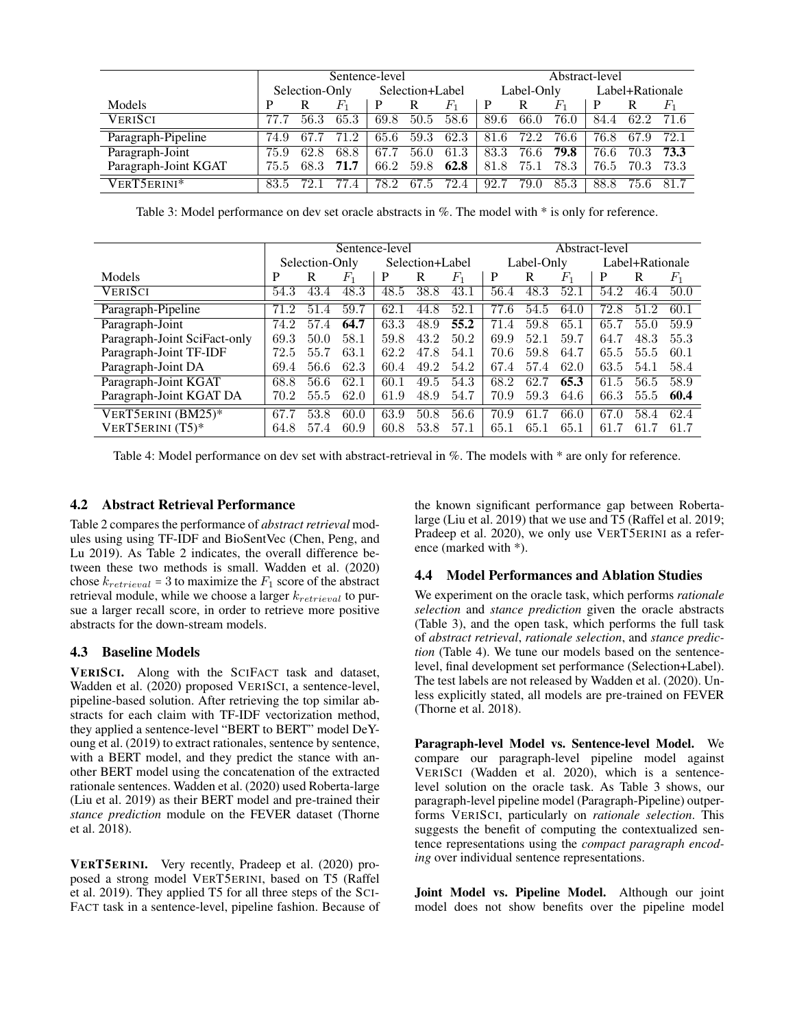|                      | Sentence-level |      |                  |                 |      |       | Abstract-level |            |         |                 |      |       |  |
|----------------------|----------------|------|------------------|-----------------|------|-------|----------------|------------|---------|-----------------|------|-------|--|
|                      | Selection-Only |      |                  | Selection+Label |      |       |                | Label-Only |         | Label+Rationale |      |       |  |
| Models               | P              |      | $_{F_1}$         | P               | R    | $F_1$ | $\mathbf{P}$   | R          | $F_{1}$ | P               |      | $F_1$ |  |
| <b>VERISCI</b>       |                | 56.3 | 65.3             | 69.8            | 50.5 | 58.6  | 89.6           | 66.0       | 76.0    | 84.4            | 62.2 | 71.6  |  |
| Paragraph-Pipeline   | 74.9           | 67.7 | 71.2             | 65.6            | 59.3 | 62.3  | 81.6           | 72.2       | 76.6    | 76.8            | 67.9 | 72.1  |  |
| Paragraph-Joint      | 75.9           | 62.8 | 68.8             | 67.7            | 56.0 | 61.3  | 83.3           | 76.6       | 79.8    | 76.6            | 70.3 | 73.3  |  |
| Paragraph-Joint KGAT | 75.5           | 68.3 | 71.7             | 66.2            | 59.8 | 62.8  | 81.8           | 75.1       | 78.3    | 76.5            | 70.3 | 73.3  |  |
| VERT5ERINI*          | 83.5           |      | 77.<br>$\cdot$ 4 | 78.2            | 67.5 | 72.4  | 92.7           | 79.0       | 85.3    | 88.8            | 75.6 | 81.7  |  |

Table 3: Model performance on dev set oracle abstracts in %. The model with \* is only for reference.

|                              | Sentence-level |      |                |                 |      |                | Abstract-level |      |         |                 |      |       |
|------------------------------|----------------|------|----------------|-----------------|------|----------------|----------------|------|---------|-----------------|------|-------|
|                              | Selection-Only |      |                | Selection+Label |      |                | Label-Only     |      |         | Label+Rationale |      |       |
| Models                       | P              | R    | $\mathbb{F}_1$ | P               | R    | $\mathbb{F}_1$ | P              | R    | $F_{1}$ | P               | R    | $F_1$ |
| <b>VERISCI</b>               | 54.3           | 43.4 | 48.3           | 48.5            | 38.8 | 43.1           | 56.4           | 48.3 | 52.1    | 54.2            | 46.4 | 50.0  |
| Paragraph-Pipeline           | 71.2           | 51.4 | 59.7           | 62.1            | 44.8 | 52.1           | 77.6           | 54.5 | 64.0    | 72.8            | 51.2 | 60.1  |
| Paragraph-Joint              | 74.2           | 57.4 | 64.7           | 63.3            | 48.9 | 55.2           | 71.4           | 59.8 | 65.1    | 65.7            | 55.0 | 59.9  |
| Paragraph-Joint SciFact-only | 69.3           | 50.0 | 58.1           | 59.8            | 43.2 | 50.2           | 69.9           | 52.1 | 59.7    | 64.7            | 48.3 | 55.3  |
| Paragraph-Joint TF-IDF       | 72.5           | 55.7 | 63.1           | 62.2            | 47.8 | 54.1           | 70.6           | 59.8 | 64.7    | 65.5            | 55.5 | 60.1  |
| Paragraph-Joint DA           | 69.4           | 56.6 | 62.3           | 60.4            | 49.2 | 54.2           | 67.4           | 57.4 | 62.0    | 63.5            | 54.1 | 58.4  |
| Paragraph-Joint KGAT         | 68.8           | 56.6 | 62.1           | 60.1            | 49.5 | 54.3           | 68.2           | 62.7 | 65.3    | 61.5            | 56.5 | 58.9  |
| Paragraph-Joint KGAT DA      | 70.2           | 55.5 | 62.0           | 61.9            | 48.9 | 54.7           | 70.9           | 59.3 | 64.6    | 66.3            | 55.5 | 60.4  |
| VERT5ERINI (BM25)*           | 67.7           | 53.8 | 60.0           | 63.9            | 50.8 | 56.6           | 70.9           | 61.7 | 66.0    | 67.0            | 58.4 | 62.4  |
| VERT5ERINI (T5)*             | 64.8           | 57.4 | 60.9           | 60.8            | 53.8 | 57.1           | 65.1           | 65.1 | 65.1    | 61.7            | 61.7 | 61.7  |

Table 4: Model performance on dev set with abstract-retrieval in %. The models with \* are only for reference.

#### 4.2 Abstract Retrieval Performance

Table 2 compares the performance of *abstract retrieval* modules using using TF-IDF and BioSentVec (Chen, Peng, and Lu 2019). As Table 2 indicates, the overall difference between these two methods is small. Wadden et al. (2020) chose  $k_{retrieval} = 3$  to maximize the  $F_1$  score of the abstract retrieval module, while we choose a larger  $k_{retrieval}$  to pursue a larger recall score, in order to retrieve more positive abstracts for the down-stream models.

### 4.3 Baseline Models

VERISCI. Along with the SCIFACT task and dataset, Wadden et al. (2020) proposed VERISCI, a sentence-level, pipeline-based solution. After retrieving the top similar abstracts for each claim with TF-IDF vectorization method, they applied a sentence-level "BERT to BERT" model DeYoung et al. (2019) to extract rationales, sentence by sentence, with a BERT model, and they predict the stance with another BERT model using the concatenation of the extracted rationale sentences. Wadden et al. (2020) used Roberta-large (Liu et al. 2019) as their BERT model and pre-trained their *stance prediction* module on the FEVER dataset (Thorne et al. 2018).

VERT5ERINI. Very recently, Pradeep et al. (2020) proposed a strong model VERT5ERINI, based on T5 (Raffel et al. 2019). They applied T5 for all three steps of the SCI-FACT task in a sentence-level, pipeline fashion. Because of

the known significant performance gap between Robertalarge (Liu et al. 2019) that we use and T5 (Raffel et al. 2019; Pradeep et al. 2020), we only use VERT5ERINI as a reference (marked with \*).

## 4.4 Model Performances and Ablation Studies

We experiment on the oracle task, which performs *rationale selection* and *stance prediction* given the oracle abstracts (Table 3), and the open task, which performs the full task of *abstract retrieval*, *rationale selection*, and *stance prediction* (Table 4). We tune our models based on the sentencelevel, final development set performance (Selection+Label). The test labels are not released by Wadden et al. (2020). Unless explicitly stated, all models are pre-trained on FEVER (Thorne et al. 2018).

Paragraph-level Model vs. Sentence-level Model. We compare our paragraph-level pipeline model against VERISCI (Wadden et al. 2020), which is a sentencelevel solution on the oracle task. As Table 3 shows, our paragraph-level pipeline model (Paragraph-Pipeline) outperforms VERISCI, particularly on *rationale selection*. This suggests the benefit of computing the contextualized sentence representations using the *compact paragraph encoding* over individual sentence representations.

Joint Model vs. Pipeline Model. Although our joint model does not show benefits over the pipeline model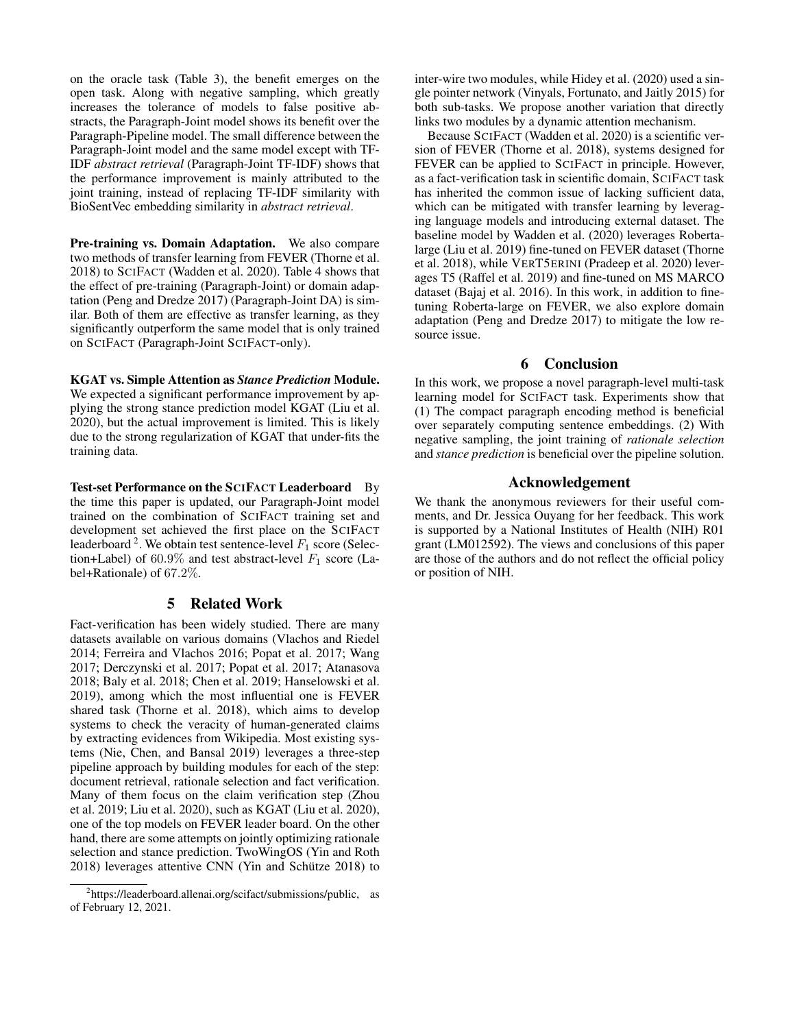on the oracle task (Table 3), the benefit emerges on the open task. Along with negative sampling, which greatly increases the tolerance of models to false positive abstracts, the Paragraph-Joint model shows its benefit over the Paragraph-Pipeline model. The small difference between the Paragraph-Joint model and the same model except with TF-IDF *abstract retrieval* (Paragraph-Joint TF-IDF) shows that the performance improvement is mainly attributed to the joint training, instead of replacing TF-IDF similarity with BioSentVec embedding similarity in *abstract retrieval*.

Pre-training vs. Domain Adaptation. We also compare two methods of transfer learning from FEVER (Thorne et al. 2018) to SCIFACT (Wadden et al. 2020). Table 4 shows that the effect of pre-training (Paragraph-Joint) or domain adaptation (Peng and Dredze 2017) (Paragraph-Joint DA) is similar. Both of them are effective as transfer learning, as they significantly outperform the same model that is only trained on SCIFACT (Paragraph-Joint SCIFACT-only).

#### KGAT vs. Simple Attention as *Stance Prediction* Module.

We expected a significant performance improvement by applying the strong stance prediction model KGAT (Liu et al. 2020), but the actual improvement is limited. This is likely due to the strong regularization of KGAT that under-fits the training data.

Test-set Performance on the SCIFACT Leaderboard By the time this paper is updated, our Paragraph-Joint model trained on the combination of SCIFACT training set and development set achieved the first place on the SCIFACT leaderboard <sup>2</sup>. We obtain test sentence-level  $F_1$  score (Selection+Label) of 60.9% and test abstract-level  $F_1$  score (Label+Rationale) of 67.2%.

#### 5 Related Work

Fact-verification has been widely studied. There are many datasets available on various domains (Vlachos and Riedel 2014; Ferreira and Vlachos 2016; Popat et al. 2017; Wang 2017; Derczynski et al. 2017; Popat et al. 2017; Atanasova 2018; Baly et al. 2018; Chen et al. 2019; Hanselowski et al. 2019), among which the most influential one is FEVER shared task (Thorne et al. 2018), which aims to develop systems to check the veracity of human-generated claims by extracting evidences from Wikipedia. Most existing systems (Nie, Chen, and Bansal 2019) leverages a three-step pipeline approach by building modules for each of the step: document retrieval, rationale selection and fact verification. Many of them focus on the claim verification step (Zhou et al. 2019; Liu et al. 2020), such as KGAT (Liu et al. 2020), one of the top models on FEVER leader board. On the other hand, there are some attempts on jointly optimizing rationale selection and stance prediction. TwoWingOS (Yin and Roth 2018) leverages attentive CNN (Yin and Schütze 2018) to

inter-wire two modules, while Hidey et al. (2020) used a single pointer network (Vinyals, Fortunato, and Jaitly 2015) for both sub-tasks. We propose another variation that directly links two modules by a dynamic attention mechanism.

Because SCIFACT (Wadden et al. 2020) is a scientific version of FEVER (Thorne et al. 2018), systems designed for FEVER can be applied to SCIFACT in principle. However, as a fact-verification task in scientific domain, SCIFACT task has inherited the common issue of lacking sufficient data, which can be mitigated with transfer learning by leveraging language models and introducing external dataset. The baseline model by Wadden et al. (2020) leverages Robertalarge (Liu et al. 2019) fine-tuned on FEVER dataset (Thorne et al. 2018), while VERT5ERINI (Pradeep et al. 2020) leverages T5 (Raffel et al. 2019) and fine-tuned on MS MARCO dataset (Bajaj et al. 2016). In this work, in addition to finetuning Roberta-large on FEVER, we also explore domain adaptation (Peng and Dredze 2017) to mitigate the low resource issue.

## 6 Conclusion

In this work, we propose a novel paragraph-level multi-task learning model for SCIFACT task. Experiments show that (1) The compact paragraph encoding method is beneficial over separately computing sentence embeddings. (2) With negative sampling, the joint training of *rationale selection* and *stance prediction* is beneficial over the pipeline solution.

## Acknowledgement

We thank the anonymous reviewers for their useful comments, and Dr. Jessica Ouyang for her feedback. This work is supported by a National Institutes of Health (NIH) R01 grant (LM012592). The views and conclusions of this paper are those of the authors and do not reflect the official policy or position of NIH.

<sup>&</sup>lt;sup>2</sup>https://leaderboard.allenai.org/scifact/submissions/public, as of February 12, 2021.